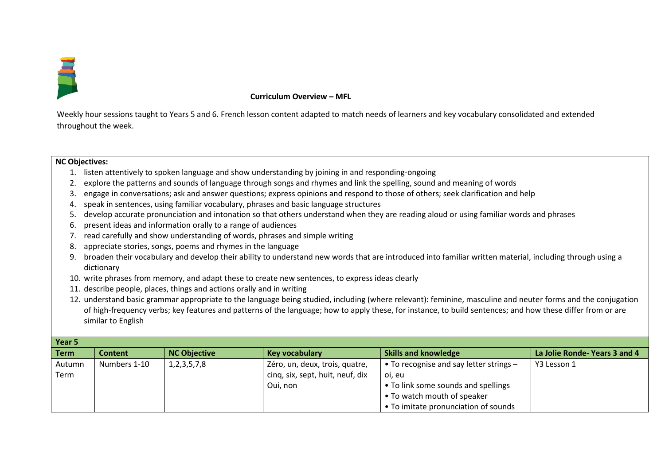

## **Curriculum Overview – MFL**

Weekly hour sessions taught to Years 5 and 6. French lesson content adapted to match needs of learners and key vocabulary consolidated and extended throughout the week.

## **NC Objectives:**

- 1. listen attentively to spoken language and show understanding by joining in and responding-ongoing
- 2. explore the patterns and sounds of language through songs and rhymes and link the spelling, sound and meaning of words
- 3. engage in conversations; ask and answer questions; express opinions and respond to those of others; seek clarification and help
- 4. speak in sentences, using familiar vocabulary, phrases and basic language structures
- 5. develop accurate pronunciation and intonation so that others understand when they are reading aloud or using familiar words and phrases
- 6. present ideas and information orally to a range of audiences
- 7. read carefully and show understanding of words, phrases and simple writing
- 8. appreciate stories, songs, poems and rhymes in the language
- 9. broaden their vocabulary and develop their ability to understand new words that are introduced into familiar written material, including through using a dictionary
- 10. write phrases from memory, and adapt these to create new sentences, to express ideas clearly
- 11. describe people, places, things and actions orally and in writing
- 12. understand basic grammar appropriate to the language being studied, including (where relevant): feminine, masculine and neuter forms and the conjugation of high-frequency verbs; key features and patterns of the language; how to apply these, for instance, to build sentences; and how these differ from or are similar to English

| Year 5      |              |                     |                                  |                                                   |                              |  |
|-------------|--------------|---------------------|----------------------------------|---------------------------------------------------|------------------------------|--|
| <b>Term</b> | Content      | <b>NC Objective</b> | Key vocabulary                   | <b>Skills and knowledge</b>                       | La Jolie Ronde-Years 3 and 4 |  |
| Autumn      | Numbers 1-10 | 1, 2, 3, 5, 7, 8    | Zéro, un, deux, trois, quatre,   | $\bullet$ To recognise and say letter strings $-$ | Y3 Lesson 1                  |  |
| Term        |              |                     | cinq, six, sept, huit, neuf, dix | oi, eu                                            |                              |  |
|             |              |                     | Oui, non                         | • To link some sounds and spellings               |                              |  |
|             |              |                     |                                  | • To watch mouth of speaker                       |                              |  |
|             |              |                     |                                  | • To imitate pronunciation of sounds              |                              |  |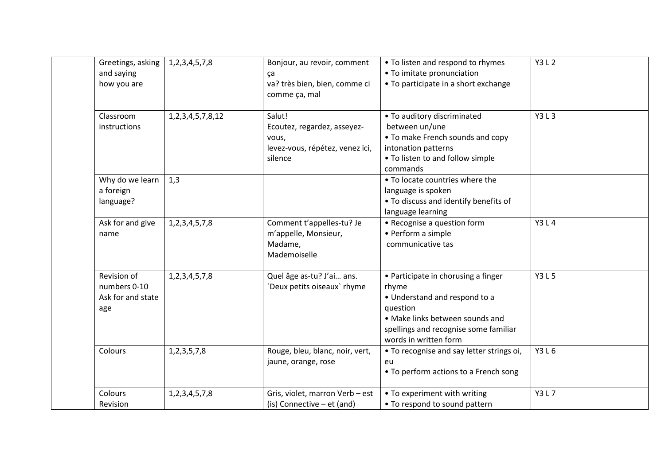| Greetings, asking<br>and saying<br>how you are          | 1, 2, 3, 4, 5, 7, 8     | Bonjour, au revoir, comment<br>ça<br>va? très bien, bien, comme ci<br>comme ça, mal          | • To listen and respond to rhymes<br>• To imitate pronunciation<br>• To participate in a short exchange                                                                                        | Y3 L 2      |
|---------------------------------------------------------|-------------------------|----------------------------------------------------------------------------------------------|------------------------------------------------------------------------------------------------------------------------------------------------------------------------------------------------|-------------|
| Classroom<br>instructions                               | 1, 2, 3, 4, 5, 7, 8, 12 | Salut!<br>Ecoutez, regardez, asseyez-<br>vous,<br>levez-vous, répétez, venez ici,<br>silence | • To auditory discriminated<br>between un/une<br>• To make French sounds and copy<br>intonation patterns<br>• To listen to and follow simple<br>commands                                       | Y3 L 3      |
| Why do we learn<br>a foreign<br>language?               | 1,3                     |                                                                                              | • To locate countries where the<br>language is spoken<br>• To discuss and identify benefits of<br>language learning                                                                            |             |
| Ask for and give<br>name                                | 1, 2, 3, 4, 5, 7, 8     | Comment t'appelles-tu? Je<br>m'appelle, Monsieur,<br>Madame,<br>Mademoiselle                 | • Recognise a question form<br>• Perform a simple<br>communicative tas                                                                                                                         | <b>Y3L4</b> |
| Revision of<br>numbers 0-10<br>Ask for and state<br>age | 1, 2, 3, 4, 5, 7, 8     | Quel âge as-tu? J'ai ans.<br>'Deux petits oiseaux' rhyme                                     | • Participate in chorusing a finger<br>rhyme<br>• Understand and respond to a<br>question<br>• Make links between sounds and<br>spellings and recognise some familiar<br>words in written form | <b>Y3L5</b> |
| Colours                                                 | 1, 2, 3, 5, 7, 8        | Rouge, bleu, blanc, noir, vert,<br>jaune, orange, rose                                       | • To recognise and say letter strings oi,<br>eu<br>• To perform actions to a French song                                                                                                       | Y3 L 6      |
| Colours<br>Revision                                     | 1, 2, 3, 4, 5, 7, 8     | Gris, violet, marron Verb - est<br>(is) Connective $-$ et (and)                              | • To experiment with writing<br>• To respond to sound pattern                                                                                                                                  | Y3 L 7      |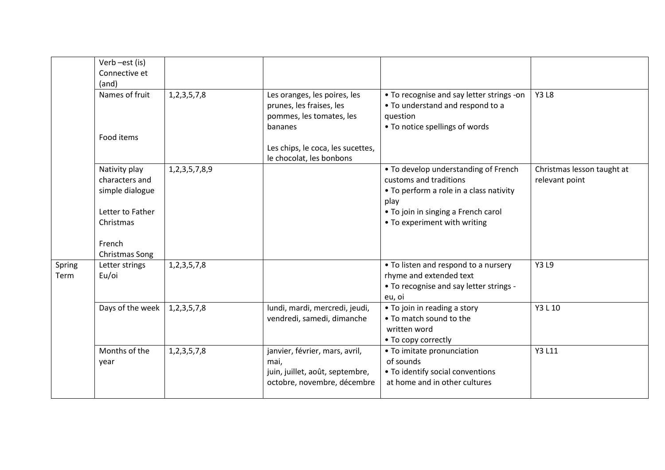|                | Verb-est (is)<br>Connective et<br>(and)                                                                         |                     |                                                                                                                                                                  |                                                                                                                                                                                          |                                              |
|----------------|-----------------------------------------------------------------------------------------------------------------|---------------------|------------------------------------------------------------------------------------------------------------------------------------------------------------------|------------------------------------------------------------------------------------------------------------------------------------------------------------------------------------------|----------------------------------------------|
|                | Names of fruit<br>Food items                                                                                    | 1, 2, 3, 5, 7, 8    | Les oranges, les poires, les<br>prunes, les fraises, les<br>pommes, les tomates, les<br>bananes<br>Les chips, le coca, les sucettes,<br>le chocolat, les bonbons | • To recognise and say letter strings -on<br>• To understand and respond to a<br>question<br>• To notice spellings of words                                                              | <b>Y3L8</b>                                  |
|                | Nativity play<br>characters and<br>simple dialogue<br>Letter to Father<br>Christmas<br>French<br>Christmas Song | 1, 2, 3, 5, 7, 8, 9 |                                                                                                                                                                  | • To develop understanding of French<br>customs and traditions<br>• To perform a role in a class nativity<br>play<br>• To join in singing a French carol<br>• To experiment with writing | Christmas lesson taught at<br>relevant point |
| Spring<br>Term | Letter strings<br>Eu/oi                                                                                         | 1, 2, 3, 5, 7, 8    |                                                                                                                                                                  | • To listen and respond to a nursery<br>rhyme and extended text<br>• To recognise and say letter strings -<br>eu, oi                                                                     | Y3 L9                                        |
|                | Days of the week                                                                                                | 1, 2, 3, 5, 7, 8    | lundi, mardi, mercredi, jeudi,<br>vendredi, samedi, dimanche                                                                                                     | • To join in reading a story<br>• To match sound to the<br>written word<br>• To copy correctly                                                                                           | Y3 L 10                                      |
|                | Months of the<br>year                                                                                           | 1, 2, 3, 5, 7, 8    | janvier, février, mars, avril,<br>mai,<br>juin, juillet, août, septembre,<br>octobre, novembre, décembre                                                         | • To imitate pronunciation<br>of sounds<br>• To identify social conventions<br>at home and in other cultures                                                                             | Y3 L11                                       |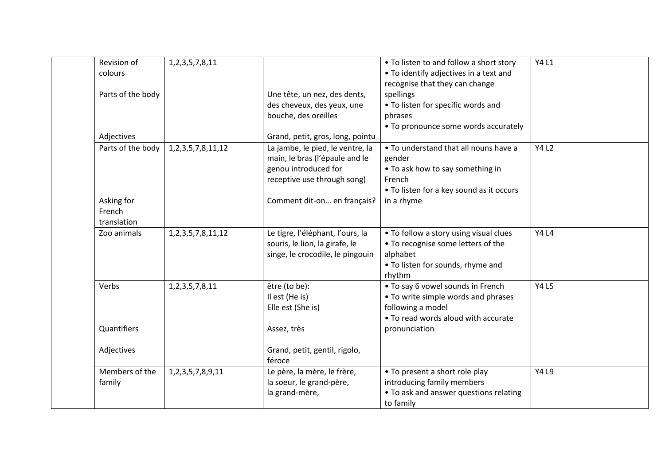| Revision of       | 1, 2, 3, 5, 7, 8, 11     |                                  | • To listen to and follow a short story  | <b>Y4 L1</b> |
|-------------------|--------------------------|----------------------------------|------------------------------------------|--------------|
| colours           |                          |                                  | • To identify adjectives in a text and   |              |
|                   |                          |                                  | recognise that they can change           |              |
| Parts of the body |                          | Une tête, un nez, des dents,     | spellings                                |              |
|                   |                          | des cheveux, des yeux, une       | • To listen for specific words and       |              |
|                   |                          | bouche, des oreilles             | phrases                                  |              |
|                   |                          |                                  | • To pronounce some words accurately     |              |
| Adjectives        |                          | Grand, petit, gros, long, pointu |                                          |              |
| Parts of the body | 1, 2, 3, 5, 7, 8, 11, 12 | La jambe, le pied, le ventre, la | . To understand that all nouns have a    | <b>Y4 L2</b> |
|                   |                          | main, le bras (l'épaule and le   | gender                                   |              |
|                   |                          | genou introduced for             | • To ask how to say something in         |              |
|                   |                          | receptive use through song)      | French                                   |              |
|                   |                          |                                  | • To listen for a key sound as it occurs |              |
| Asking for        |                          | Comment dit-on en français?      | in a rhyme                               |              |
| French            |                          |                                  |                                          |              |
| translation       |                          |                                  |                                          |              |
| Zoo animals       | 1, 2, 3, 5, 7, 8, 11, 12 | Le tigre, l'éléphant, l'ours, la | • To follow a story using visual clues   | <b>Y4 L4</b> |
|                   |                          | souris, le lion, la girafe, le   | • To recognise some letters of the       |              |
|                   |                          | singe, le crocodile, le pingouin | alphabet                                 |              |
|                   |                          |                                  | • To listen for sounds, rhyme and        |              |
|                   |                          |                                  | rhythm                                   |              |
| Verbs             | 1, 2, 3, 5, 7, 8, 11     | être (to be):                    | • To say 6 vowel sounds in French        | <b>Y4 L5</b> |
|                   |                          | Il est (He is)                   | • To write simple words and phrases      |              |
|                   |                          | Elle est (She is)                | following a model                        |              |
|                   |                          |                                  | • To read words aloud with accurate      |              |
| Quantifiers       |                          | Assez, très                      | pronunciation                            |              |
|                   |                          |                                  |                                          |              |
| Adjectives        |                          | Grand, petit, gentil, rigolo,    |                                          |              |
|                   |                          | féroce                           |                                          |              |
| Members of the    | 1, 2, 3, 5, 7, 8, 9, 11  | Le père, la mère, le frère,      | • To present a short role play           | <b>Y4 L9</b> |
| family            |                          | la soeur, le grand-père,         | introducing family members               |              |
|                   |                          | la grand-mère,                   | • To ask and answer questions relating   |              |
|                   |                          |                                  | to family                                |              |
|                   |                          |                                  |                                          |              |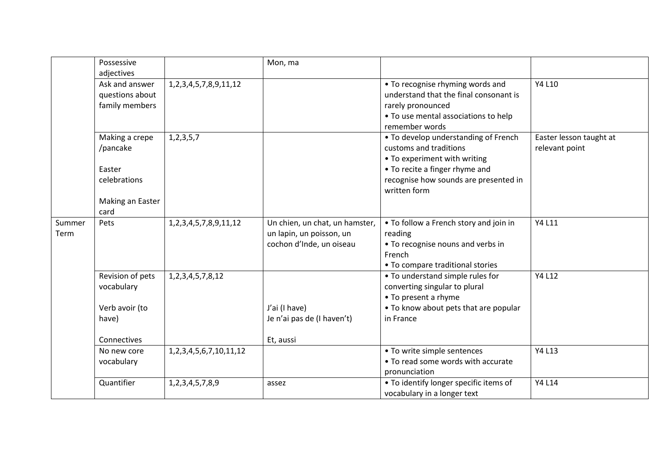|                | Possessive<br>adjectives                                                         |                                 | Mon, ma                                                                                |                                                                                                                                                                                           |                                           |
|----------------|----------------------------------------------------------------------------------|---------------------------------|----------------------------------------------------------------------------------------|-------------------------------------------------------------------------------------------------------------------------------------------------------------------------------------------|-------------------------------------------|
|                | Ask and answer<br>questions about<br>family members                              | 1, 2, 3, 4, 5, 7, 8, 9, 11, 12  |                                                                                        | • To recognise rhyming words and<br>understand that the final consonant is<br>rarely pronounced<br>• To use mental associations to help<br>remember words                                 | Y4 L10                                    |
|                | Making a crepe<br>/pancake<br>Easter<br>celebrations<br>Making an Easter<br>card | 1, 2, 3, 5, 7                   |                                                                                        | • To develop understanding of French<br>customs and traditions<br>• To experiment with writing<br>• To recite a finger rhyme and<br>recognise how sounds are presented in<br>written form | Easter lesson taught at<br>relevant point |
| Summer<br>Term | Pets                                                                             | 1, 2, 3, 4, 5, 7, 8, 9, 11, 12  | Un chien, un chat, un hamster,<br>un lapin, un poisson, un<br>cochon d'Inde, un oiseau | • To follow a French story and join in<br>reading<br>• To recognise nouns and verbs in<br>French<br>• To compare traditional stories                                                      | Y4 L11                                    |
|                | Revision of pets<br>vocabulary<br>Verb avoir (to<br>have)<br>Connectives         | 1, 2, 3, 4, 5, 7, 8, 12         | J'ai (I have)<br>Je n'ai pas de (I haven't)<br>Et, aussi                               | • To understand simple rules for<br>converting singular to plural<br>• To present a rhyme<br>• To know about pets that are popular<br>in France                                           | Y4 L12                                    |
|                | No new core<br>vocabulary                                                        | 1, 2, 3, 4, 5, 6, 7, 10, 11, 12 |                                                                                        | • To write simple sentences<br>• To read some words with accurate<br>pronunciation                                                                                                        | Y4 L13                                    |
|                | Quantifier                                                                       | 1,2,3,4,5,7,8,9                 | assez                                                                                  | • To identify longer specific items of<br>vocabulary in a longer text                                                                                                                     | Y4 L14                                    |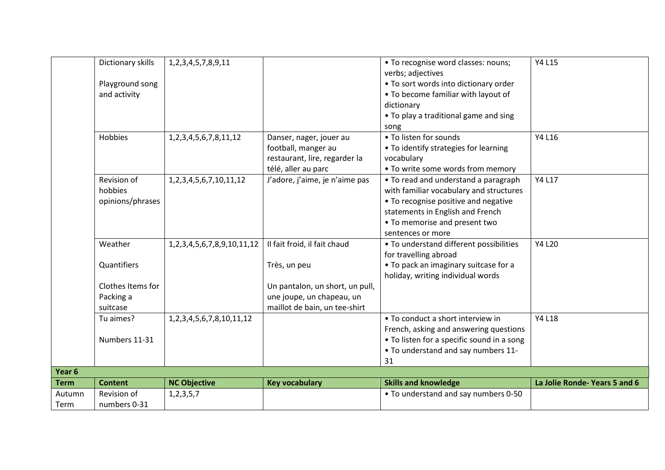|                | Dictionary skills<br>Playground song<br>and activity<br>Hobbies | 1, 2, 3, 4, 5, 7, 8, 9, 11<br>1, 2, 3, 4, 5, 6, 7, 8, 11, 12 | Danser, nager, jouer au                                                                       | • To recognise word classes: nouns;<br>verbs; adjectives<br>• To sort words into dictionary order<br>• To become familiar with layout of<br>dictionary<br>• To play a traditional game and sing<br>song<br>• To listen for sounds | <b>Y4 L15</b><br>Y4 L16       |
|----------------|-----------------------------------------------------------------|--------------------------------------------------------------|-----------------------------------------------------------------------------------------------|-----------------------------------------------------------------------------------------------------------------------------------------------------------------------------------------------------------------------------------|-------------------------------|
|                |                                                                 |                                                              | football, manger au<br>restaurant, lire, regarder la<br>télé, aller au parc                   | • To identify strategies for learning<br>vocabulary<br>• To write some words from memory                                                                                                                                          |                               |
|                | Revision of<br>hobbies<br>opinions/phrases                      | 1, 2, 3, 4, 5, 6, 7, 10, 11, 12                              | J'adore, j'aime, je n'aime pas                                                                | • To read and understand a paragraph<br>with familiar vocabulary and structures<br>• To recognise positive and negative<br>statements in English and French<br>• To memorise and present two<br>sentences or more                 | Y4 L17                        |
|                | Weather<br>Quantifiers                                          | 1, 2, 3, 4, 5, 6, 7, 8, 9, 10, 11, 12                        | Il fait froid, il fait chaud<br>Très, un peu                                                  | • To understand different possibilities<br>for travelling abroad<br>• To pack an imaginary suitcase for a                                                                                                                         | <b>Y4 L20</b>                 |
|                | Clothes Items for<br>Packing a<br>suitcase                      |                                                              | Un pantalon, un short, un pull,<br>une joupe, un chapeau, un<br>maillot de bain, un tee-shirt | holiday, writing individual words                                                                                                                                                                                                 |                               |
|                | Tu aimes?<br>Numbers 11-31                                      | 1, 2, 3, 4, 5, 6, 7, 8, 10, 11, 12                           |                                                                                               | • To conduct a short interview in<br>French, asking and answering questions<br>• To listen for a specific sound in a song<br>. To understand and say numbers 11-<br>31                                                            | Y4 L18                        |
| Year 6         |                                                                 |                                                              |                                                                                               |                                                                                                                                                                                                                                   |                               |
| <b>Term</b>    | <b>Content</b>                                                  | <b>NC Objective</b>                                          | <b>Key vocabulary</b>                                                                         | <b>Skills and knowledge</b>                                                                                                                                                                                                       | La Jolie Ronde- Years 5 and 6 |
| Autumn<br>Term | Revision of<br>numbers 0-31                                     | 1, 2, 3, 5, 7                                                |                                                                                               | • To understand and say numbers 0-50                                                                                                                                                                                              |                               |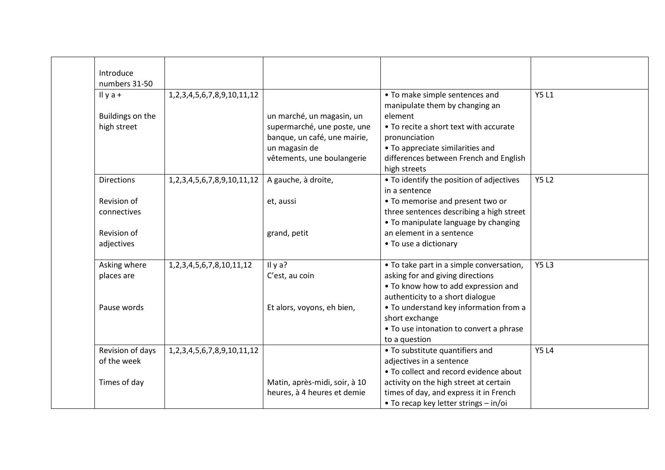| Introduce         |                                       |                               |                                                                  |              |
|-------------------|---------------------------------------|-------------------------------|------------------------------------------------------------------|--------------|
| numbers 31-50     |                                       |                               |                                                                  |              |
| Il y $a +$        | 1,2,3,4,5,6,7,8,9,10,11,12            |                               | • To make simple sentences and<br>manipulate them by changing an | <b>Y5 L1</b> |
| Buildings on the  |                                       | un marché, un magasin, un     | element                                                          |              |
| high street       |                                       | supermarché, une poste, une   | • To recite a short text with accurate                           |              |
|                   |                                       | banque, un café, une mairie,  | pronunciation                                                    |              |
|                   |                                       | un magasin de                 | • To appreciate similarities and                                 |              |
|                   |                                       | vêtements, une boulangerie    | differences between French and English                           |              |
|                   |                                       |                               | high streets                                                     |              |
| <b>Directions</b> | 1,2,3,4,5,6,7,8,9,10,11,12            | A gauche, à droite,           | • To identify the position of adjectives                         | <b>Y5 L2</b> |
|                   |                                       |                               | in a sentence                                                    |              |
| Revision of       |                                       | et, aussi                     | • To memorise and present two or                                 |              |
| connectives       |                                       |                               | three sentences describing a high street                         |              |
|                   |                                       |                               | • To manipulate language by changing                             |              |
| Revision of       |                                       | grand, petit                  | an element in a sentence                                         |              |
| adjectives        |                                       |                               | • To use a dictionary                                            |              |
|                   |                                       |                               |                                                                  |              |
| Asking where      | 1, 2, 3, 4, 5, 6, 7, 8, 10, 11, 12    | Il y a?                       | • To take part in a simple conversation,                         | <b>Y5L3</b>  |
| places are        |                                       | C'est, au coin                | asking for and giving directions                                 |              |
|                   |                                       |                               | . To know how to add expression and                              |              |
|                   |                                       |                               | authenticity to a short dialogue                                 |              |
| Pause words       |                                       | Et alors, voyons, eh bien,    | • To understand key information from a                           |              |
|                   |                                       |                               | short exchange                                                   |              |
|                   |                                       |                               | • To use intonation to convert a phrase                          |              |
|                   |                                       |                               | to a question                                                    |              |
| Revision of days  | 1, 2, 3, 4, 5, 6, 7, 8, 9, 10, 11, 12 |                               | • To substitute quantifiers and                                  | <b>Y5 L4</b> |
| of the week       |                                       |                               | adjectives in a sentence                                         |              |
|                   |                                       |                               | • To collect and record evidence about                           |              |
| Times of day      |                                       | Matin, après-midi, soir, à 10 | activity on the high street at certain                           |              |
|                   |                                       | heures, à 4 heures et demie   | times of day, and express it in French                           |              |
|                   |                                       |                               | • To recap key letter strings - in/oi                            |              |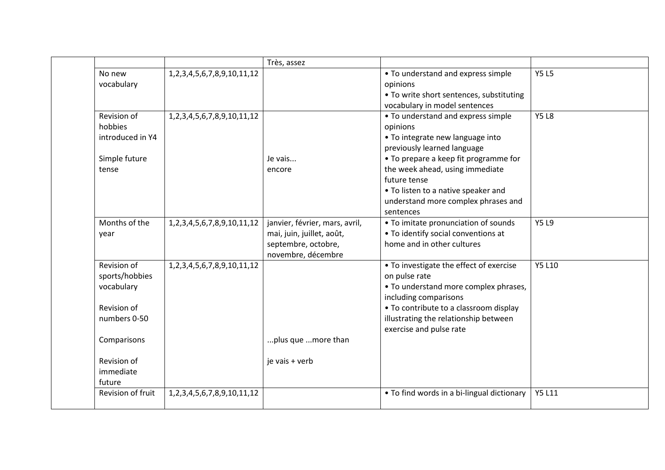|                                                                                           |                                       | Très, assez                                                                                              |                                                                                                                                                                                                                                                                                                          |               |
|-------------------------------------------------------------------------------------------|---------------------------------------|----------------------------------------------------------------------------------------------------------|----------------------------------------------------------------------------------------------------------------------------------------------------------------------------------------------------------------------------------------------------------------------------------------------------------|---------------|
| No new<br>vocabulary                                                                      | 1, 2, 3, 4, 5, 6, 7, 8, 9, 10, 11, 12 |                                                                                                          | • To understand and express simple<br>opinions<br>• To write short sentences, substituting<br>vocabulary in model sentences                                                                                                                                                                              | <b>Y5L5</b>   |
| Revision of<br>hobbies<br>introduced in Y4<br>Simple future<br>tense                      | 1, 2, 3, 4, 5, 6, 7, 8, 9, 10, 11, 12 | Je vais<br>encore                                                                                        | • To understand and express simple<br>opinions<br>• To integrate new language into<br>previously learned language<br>• To prepare a keep fit programme for<br>the week ahead, using immediate<br>future tense<br>• To listen to a native speaker and<br>understand more complex phrases and<br>sentences | <b>Y5L8</b>   |
| Months of the<br>year                                                                     | 1, 2, 3, 4, 5, 6, 7, 8, 9, 10, 11, 12 | janvier, février, mars, avril,<br>mai, juin, juillet, août,<br>septembre, octobre,<br>novembre, décembre | • To imitate pronunciation of sounds<br>• To identify social conventions at<br>home and in other cultures                                                                                                                                                                                                | <b>Y5L9</b>   |
| Revision of<br>sports/hobbies<br>vocabulary<br>Revision of<br>numbers 0-50<br>Comparisons | 1, 2, 3, 4, 5, 6, 7, 8, 9, 10, 11, 12 | plus que  more than                                                                                      | • To investigate the effect of exercise<br>on pulse rate<br>• To understand more complex phrases,<br>including comparisons<br>• To contribute to a classroom display<br>illustrating the relationship between<br>exercise and pulse rate                                                                 | <b>Y5 L10</b> |
| Revision of<br>immediate<br>future                                                        |                                       | je vais + verb                                                                                           |                                                                                                                                                                                                                                                                                                          |               |
| Revision of fruit                                                                         | 1, 2, 3, 4, 5, 6, 7, 8, 9, 10, 11, 12 |                                                                                                          | • To find words in a bi-lingual dictionary                                                                                                                                                                                                                                                               | <b>Y5 L11</b> |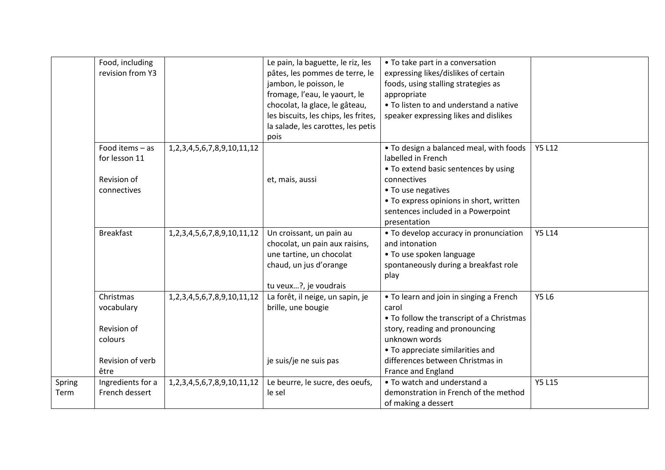|        | Food, including   |                                       | Le pain, la baguette, le riz, les    | • To take part in a conversation          |               |
|--------|-------------------|---------------------------------------|--------------------------------------|-------------------------------------------|---------------|
|        | revision from Y3  |                                       | pâtes, les pommes de terre, le       | expressing likes/dislikes of certain      |               |
|        |                   |                                       | jambon, le poisson, le               | foods, using stalling strategies as       |               |
|        |                   |                                       | fromage, l'eau, le yaourt, le        | appropriate                               |               |
|        |                   |                                       | chocolat, la glace, le gâteau,       | • To listen to and understand a native    |               |
|        |                   |                                       | les biscuits, les chips, les frites, | speaker expressing likes and dislikes     |               |
|        |                   |                                       | la salade, les carottes, les petis   |                                           |               |
|        |                   |                                       | pois                                 |                                           |               |
|        | Food items $-$ as | 1, 2, 3, 4, 5, 6, 7, 8, 9, 10, 11, 12 |                                      | . To design a balanced meal, with foods   | <b>Y5 L12</b> |
|        | for lesson 11     |                                       |                                      | labelled in French                        |               |
|        |                   |                                       |                                      | • To extend basic sentences by using      |               |
|        | Revision of       |                                       | et, mais, aussi                      | connectives                               |               |
|        | connectives       |                                       |                                      | • To use negatives                        |               |
|        |                   |                                       |                                      | • To express opinions in short, written   |               |
|        |                   |                                       |                                      | sentences included in a Powerpoint        |               |
|        |                   |                                       |                                      | presentation                              |               |
|        | <b>Breakfast</b>  | 1, 2, 3, 4, 5, 6, 7, 8, 9, 10, 11, 12 | Un croissant, un pain au             | • To develop accuracy in pronunciation    | <b>Y5 L14</b> |
|        |                   |                                       | chocolat, un pain aux raisins,       | and intonation                            |               |
|        |                   |                                       | une tartine, un chocolat             | • To use spoken language                  |               |
|        |                   |                                       | chaud, un jus d'orange               | spontaneously during a breakfast role     |               |
|        |                   |                                       |                                      | play                                      |               |
|        |                   |                                       | tu veux?, je voudrais                |                                           |               |
|        | Christmas         | 1, 2, 3, 4, 5, 6, 7, 8, 9, 10, 11, 12 | La forêt, il neige, un sapin, je     | • To learn and join in singing a French   | <b>Y5 L6</b>  |
|        | vocabulary        |                                       | brille, une bougie                   | carol                                     |               |
|        |                   |                                       |                                      | • To follow the transcript of a Christmas |               |
|        | Revision of       |                                       |                                      | story, reading and pronouncing            |               |
|        | colours           |                                       |                                      | unknown words                             |               |
|        |                   |                                       |                                      | • To appreciate similarities and          |               |
|        | Revision of verb  |                                       | je suis/je ne suis pas               | differences between Christmas in          |               |
|        | être              |                                       |                                      | France and England                        |               |
| Spring | Ingredients for a | 1, 2, 3, 4, 5, 6, 7, 8, 9, 10, 11, 12 | Le beurre, le sucre, des oeufs,      | • To watch and understand a               | <b>Y5 L15</b> |
| Term   | French dessert    |                                       | le sel                               | demonstration in French of the method     |               |
|        |                   |                                       |                                      | of making a dessert                       |               |
|        |                   |                                       |                                      |                                           |               |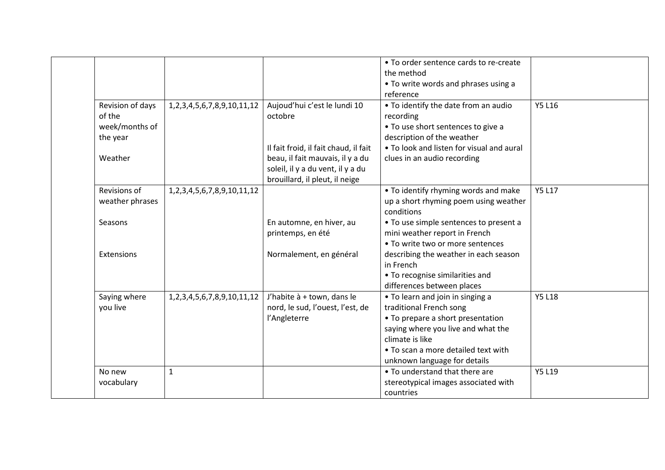|                  |                                       |                                       | • To order sentence cards to re-create    |               |
|------------------|---------------------------------------|---------------------------------------|-------------------------------------------|---------------|
|                  |                                       |                                       | the method                                |               |
|                  |                                       |                                       | • To write words and phrases using a      |               |
|                  |                                       |                                       | reference                                 |               |
| Revision of days | 1, 2, 3, 4, 5, 6, 7, 8, 9, 10, 11, 12 | Aujoud'hui c'est le lundi 10          | • To identify the date from an audio      | <b>Y5 L16</b> |
| of the           |                                       | octobre                               | recording                                 |               |
| week/months of   |                                       |                                       | • To use short sentences to give a        |               |
| the year         |                                       |                                       | description of the weather                |               |
|                  |                                       | Il fait froid, il fait chaud, il fait | • To look and listen for visual and aural |               |
| Weather          |                                       | beau, il fait mauvais, il y a du      | clues in an audio recording               |               |
|                  |                                       | soleil, il y a du vent, il y a du     |                                           |               |
|                  |                                       | brouillard, il pleut, il neige        |                                           |               |
| Revisions of     | 1, 2, 3, 4, 5, 6, 7, 8, 9, 10, 11, 12 |                                       | • To identify rhyming words and make      | <b>Y5 L17</b> |
| weather phrases  |                                       |                                       | up a short rhyming poem using weather     |               |
|                  |                                       |                                       | conditions                                |               |
| Seasons          |                                       | En automne, en hiver, au              | • To use simple sentences to present a    |               |
|                  |                                       | printemps, en été                     | mini weather report in French             |               |
|                  |                                       |                                       | • To write two or more sentences          |               |
| Extensions       |                                       | Normalement, en général               | describing the weather in each season     |               |
|                  |                                       |                                       | in French                                 |               |
|                  |                                       |                                       | • To recognise similarities and           |               |
|                  |                                       |                                       | differences between places                |               |
| Saying where     | 1, 2, 3, 4, 5, 6, 7, 8, 9, 10, 11, 12 | J'habite à + town, dans le            | • To learn and join in singing a          | <b>Y5 L18</b> |
| you live         |                                       | nord, le sud, l'ouest, l'est, de      | traditional French song                   |               |
|                  |                                       | l'Angleterre                          | • To prepare a short presentation         |               |
|                  |                                       |                                       | saying where you live and what the        |               |
|                  |                                       |                                       | climate is like                           |               |
|                  |                                       |                                       | • To scan a more detailed text with       |               |
|                  |                                       |                                       | unknown language for details              |               |
| No new           | $\mathbf{1}$                          |                                       | • To understand that there are            | <b>Y5 L19</b> |
| vocabulary       |                                       |                                       | stereotypical images associated with      |               |
|                  |                                       |                                       | countries                                 |               |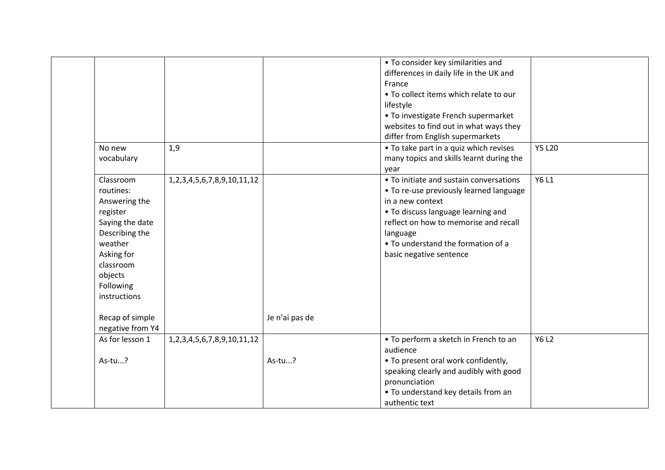|                  |                                       |                | • To consider key similarities and       |               |
|------------------|---------------------------------------|----------------|------------------------------------------|---------------|
|                  |                                       |                | differences in daily life in the UK and  |               |
|                  |                                       |                | France                                   |               |
|                  |                                       |                | . To collect items which relate to our   |               |
|                  |                                       |                | lifestyle                                |               |
|                  |                                       |                | • To investigate French supermarket      |               |
|                  |                                       |                | websites to find out in what ways they   |               |
|                  |                                       |                | differ from English supermarkets         |               |
| No new           | 1,9                                   |                | • To take part in a quiz which revises   | <b>Y5 L20</b> |
| vocabulary       |                                       |                | many topics and skills learnt during the |               |
|                  |                                       |                | year                                     |               |
| Classroom        | 1, 2, 3, 4, 5, 6, 7, 8, 9, 10, 11, 12 |                | • To initiate and sustain conversations  | Y6 L1         |
| routines:        |                                       |                | • To re-use previously learned language  |               |
| Answering the    |                                       |                | in a new context                         |               |
| register         |                                       |                | • To discuss language learning and       |               |
| Saying the date  |                                       |                | reflect on how to memorise and recall    |               |
| Describing the   |                                       |                | language                                 |               |
| weather          |                                       |                | • To understand the formation of a       |               |
| Asking for       |                                       |                | basic negative sentence                  |               |
| classroom        |                                       |                |                                          |               |
| objects          |                                       |                |                                          |               |
| Following        |                                       |                |                                          |               |
| instructions     |                                       |                |                                          |               |
|                  |                                       |                |                                          |               |
| Recap of simple  |                                       | Je n'ai pas de |                                          |               |
| negative from Y4 |                                       |                |                                          |               |
| As for lesson 1  | 1, 2, 3, 4, 5, 6, 7, 8, 9, 10, 11, 12 |                | • To perform a sketch in French to an    | <b>Y6 L2</b>  |
|                  |                                       |                | audience                                 |               |
| As-tu?           |                                       | As-tu?         | • To present oral work confidently,      |               |
|                  |                                       |                | speaking clearly and audibly with good   |               |
|                  |                                       |                | pronunciation                            |               |
|                  |                                       |                | • To understand key details from an      |               |
|                  |                                       |                | authentic text                           |               |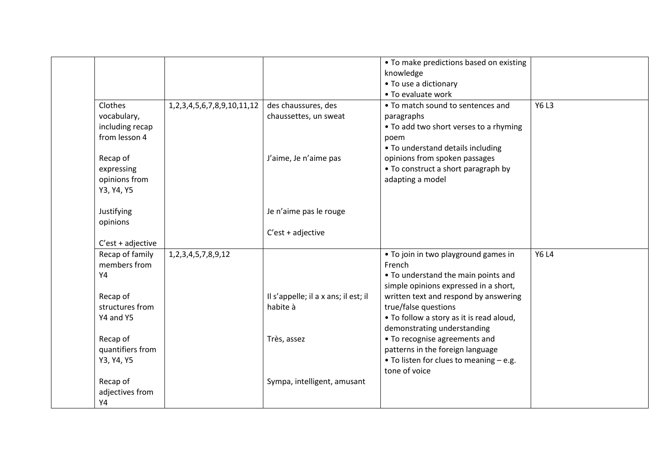|                     |                                       |                                      | • To make predictions based on existing  |              |
|---------------------|---------------------------------------|--------------------------------------|------------------------------------------|--------------|
|                     |                                       |                                      | knowledge                                |              |
|                     |                                       |                                      | • To use a dictionary                    |              |
|                     |                                       |                                      | • To evaluate work                       |              |
|                     |                                       |                                      |                                          | <b>Y6L3</b>  |
| Clothes             | 1, 2, 3, 4, 5, 6, 7, 8, 9, 10, 11, 12 | des chaussures, des                  | • To match sound to sentences and        |              |
| vocabulary,         |                                       | chaussettes, un sweat                | paragraphs                               |              |
| including recap     |                                       |                                      | • To add two short verses to a rhyming   |              |
| from lesson 4       |                                       |                                      | poem                                     |              |
|                     |                                       |                                      | • To understand details including        |              |
| Recap of            |                                       | J'aime, Je n'aime pas                | opinions from spoken passages            |              |
| expressing          |                                       |                                      | • To construct a short paragraph by      |              |
| opinions from       |                                       |                                      | adapting a model                         |              |
| Y3, Y4, Y5          |                                       |                                      |                                          |              |
|                     |                                       |                                      |                                          |              |
| Justifying          |                                       | Je n'aime pas le rouge               |                                          |              |
| opinions            |                                       |                                      |                                          |              |
|                     |                                       | $C'est + adjective$                  |                                          |              |
| $C'est + adjective$ |                                       |                                      |                                          |              |
| Recap of family     | 1, 2, 3, 4, 5, 7, 8, 9, 12            |                                      | • To join in two playground games in     | <b>Y6 L4</b> |
| members from        |                                       |                                      | French                                   |              |
| Y4                  |                                       |                                      | • To understand the main points and      |              |
|                     |                                       |                                      | simple opinions expressed in a short,    |              |
| Recap of            |                                       | Il s'appelle; il a x ans; il est; il | written text and respond by answering    |              |
| structures from     |                                       | habite à                             | true/false questions                     |              |
| Y4 and Y5           |                                       |                                      | . To follow a story as it is read aloud, |              |
|                     |                                       |                                      |                                          |              |
|                     |                                       |                                      | demonstrating understanding              |              |
| Recap of            |                                       | Très, assez                          | • To recognise agreements and            |              |
| quantifiers from    |                                       |                                      | patterns in the foreign language         |              |
| Y3, Y4, Y5          |                                       |                                      | • To listen for clues to meaning - e.g.  |              |
|                     |                                       |                                      | tone of voice                            |              |
| Recap of            |                                       | Sympa, intelligent, amusant          |                                          |              |
| adjectives from     |                                       |                                      |                                          |              |
| Y4                  |                                       |                                      |                                          |              |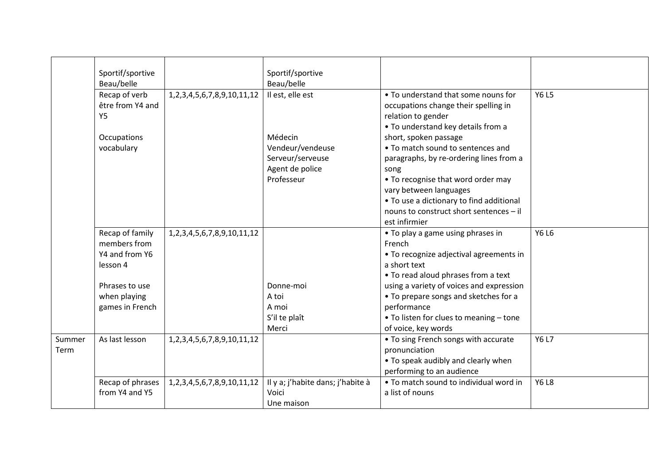|        | Sportif/sportive |                                       | Sportif/sportive                  |                                          |              |
|--------|------------------|---------------------------------------|-----------------------------------|------------------------------------------|--------------|
|        | Beau/belle       |                                       | Beau/belle                        |                                          |              |
|        | Recap of verb    | 1, 2, 3, 4, 5, 6, 7, 8, 9, 10, 11, 12 | Il est, elle est                  | • To understand that some nouns for      | <b>Y6L5</b>  |
|        | être from Y4 and |                                       |                                   | occupations change their spelling in     |              |
|        | <b>Y5</b>        |                                       |                                   | relation to gender                       |              |
|        |                  |                                       |                                   | . To understand key details from a       |              |
|        | Occupations      |                                       | Médecin                           | short, spoken passage                    |              |
|        | vocabulary       |                                       | Vendeur/vendeuse                  | • To match sound to sentences and        |              |
|        |                  |                                       | Serveur/serveuse                  | paragraphs, by re-ordering lines from a  |              |
|        |                  |                                       | Agent de police                   | song                                     |              |
|        |                  |                                       | Professeur                        | • To recognise that word order may       |              |
|        |                  |                                       |                                   | vary between languages                   |              |
|        |                  |                                       |                                   | • To use a dictionary to find additional |              |
|        |                  |                                       |                                   | nouns to construct short sentences - il  |              |
|        |                  |                                       |                                   | est infirmier                            |              |
|        | Recap of family  | 1, 2, 3, 4, 5, 6, 7, 8, 9, 10, 11, 12 |                                   | • To play a game using phrases in        | Y6 L6        |
|        | members from     |                                       |                                   | French                                   |              |
|        | Y4 and from Y6   |                                       |                                   | • To recognize adjectival agreements in  |              |
|        | lesson 4         |                                       |                                   | a short text                             |              |
|        |                  |                                       |                                   | • To read aloud phrases from a text      |              |
|        | Phrases to use   |                                       | Donne-moi                         | using a variety of voices and expression |              |
|        | when playing     |                                       | A toi                             | • To prepare songs and sketches for a    |              |
|        | games in French  |                                       | A moi                             | performance                              |              |
|        |                  |                                       | S'il te plaît                     | • To listen for clues to meaning - tone  |              |
|        |                  |                                       | Merci                             | of voice, key words                      |              |
| Summer | As last lesson   | 1, 2, 3, 4, 5, 6, 7, 8, 9, 10, 11, 12 |                                   | • To sing French songs with accurate     | <b>Y6 L7</b> |
| Term   |                  |                                       |                                   | pronunciation                            |              |
|        |                  |                                       |                                   | • To speak audibly and clearly when      |              |
|        |                  |                                       |                                   | performing to an audience                |              |
|        | Recap of phrases | 1, 2, 3, 4, 5, 6, 7, 8, 9, 10, 11, 12 | Il y a; j'habite dans; j'habite à | • To match sound to individual word in   | <b>Y6 L8</b> |
|        | from Y4 and Y5   |                                       | Voici                             | a list of nouns                          |              |
|        |                  |                                       | Une maison                        |                                          |              |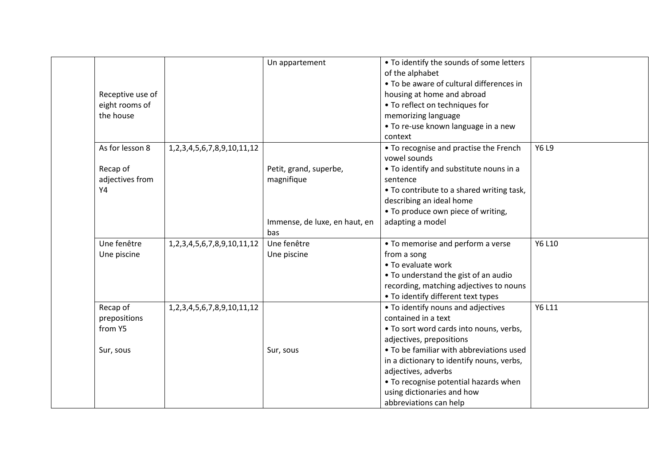|           | Receptive use of<br>eight rooms of<br>the house  |                                       | Un appartement                                                                      | • To identify the sounds of some letters<br>of the alphabet<br>• To be aware of cultural differences in<br>housing at home and abroad<br>• To reflect on techniques for<br>memorizing language<br>• To re-use known language in a new<br>context                                                                                                  |        |
|-----------|--------------------------------------------------|---------------------------------------|-------------------------------------------------------------------------------------|---------------------------------------------------------------------------------------------------------------------------------------------------------------------------------------------------------------------------------------------------------------------------------------------------------------------------------------------------|--------|
| <b>Y4</b> | As for lesson 8<br>Recap of<br>adjectives from   | 1, 2, 3, 4, 5, 6, 7, 8, 9, 10, 11, 12 | Petit, grand, superbe,<br>magnifique<br>Immense, de luxe, en haut, en<br><b>bas</b> | • To recognise and practise the French<br>vowel sounds<br>. To identify and substitute nouns in a<br>sentence<br>. To contribute to a shared writing task,<br>describing an ideal home<br>• To produce own piece of writing,<br>adapting a model                                                                                                  | Y6 L9  |
|           | Une fenêtre<br>Une piscine                       | 1, 2, 3, 4, 5, 6, 7, 8, 9, 10, 11, 12 | Une fenêtre<br>Une piscine                                                          | • To memorise and perform a verse<br>from a song<br>• To evaluate work<br>• To understand the gist of an audio<br>recording, matching adjectives to nouns<br>• To identify different text types                                                                                                                                                   | Y6 L10 |
|           | Recap of<br>prepositions<br>from Y5<br>Sur, sous | 1, 2, 3, 4, 5, 6, 7, 8, 9, 10, 11, 12 | Sur, sous                                                                           | • To identify nouns and adjectives<br>contained in a text<br>. To sort word cards into nouns, verbs,<br>adjectives, prepositions<br>• To be familiar with abbreviations used<br>in a dictionary to identify nouns, verbs,<br>adjectives, adverbs<br>• To recognise potential hazards when<br>using dictionaries and how<br>abbreviations can help | Y6 L11 |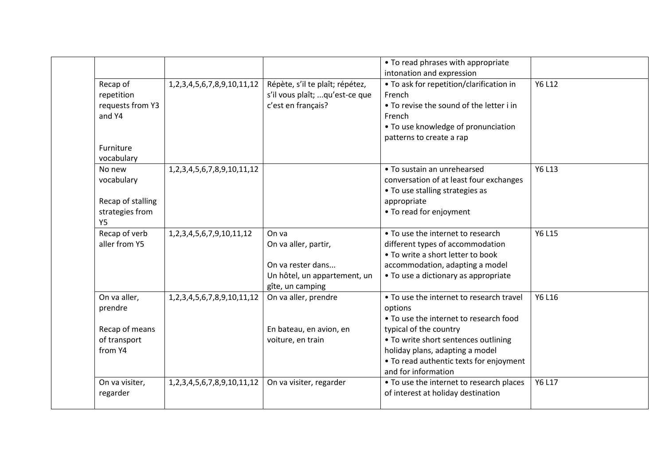|                   |                                       |                                 | • To read phrases with appropriate       |               |
|-------------------|---------------------------------------|---------------------------------|------------------------------------------|---------------|
|                   |                                       |                                 | intonation and expression                |               |
| Recap of          | 1, 2, 3, 4, 5, 6, 7, 8, 9, 10, 11, 12 | Répète, s'il te plaît; répétez, | • To ask for repetition/clarification in | Y6 L12        |
| repetition        |                                       | s'il vous plaît; qu'est-ce que  | French                                   |               |
| requests from Y3  |                                       | c'est en français?              | • To revise the sound of the letter i in |               |
| and Y4            |                                       |                                 | French                                   |               |
|                   |                                       |                                 | • To use knowledge of pronunciation      |               |
|                   |                                       |                                 | patterns to create a rap                 |               |
| Furniture         |                                       |                                 |                                          |               |
| vocabulary        |                                       |                                 |                                          |               |
| No new            | 1, 2, 3, 4, 5, 6, 7, 8, 9, 10, 11, 12 |                                 | • To sustain an unrehearsed              | Y6 L13        |
| vocabulary        |                                       |                                 | conversation of at least four exchanges  |               |
|                   |                                       |                                 | • To use stalling strategies as          |               |
| Recap of stalling |                                       |                                 | appropriate                              |               |
| strategies from   |                                       |                                 | • To read for enjoyment                  |               |
| <b>Y5</b>         |                                       |                                 |                                          |               |
| Recap of verb     | 1, 2, 3, 4, 5, 6, 7, 9, 10, 11, 12    | On va                           | • To use the internet to research        | <b>Y6 L15</b> |
| aller from Y5     |                                       | On va aller, partir,            | different types of accommodation         |               |
|                   |                                       |                                 | • To write a short letter to book        |               |
|                   |                                       | On va rester dans               | accommodation, adapting a model          |               |
|                   |                                       | Un hôtel, un appartement, un    | • To use a dictionary as appropriate     |               |
|                   |                                       | gîte, un camping                |                                          |               |
| On va aller,      | 1, 2, 3, 4, 5, 6, 7, 8, 9, 10, 11, 12 | On va aller, prendre            | • To use the internet to research travel | Y6 L16        |
| prendre           |                                       |                                 | options                                  |               |
|                   |                                       |                                 | • To use the internet to research food   |               |
| Recap of means    |                                       | En bateau, en avion, en         | typical of the country                   |               |
| of transport      |                                       | voiture, en train               | • To write short sentences outlining     |               |
| from Y4           |                                       |                                 | holiday plans, adapting a model          |               |
|                   |                                       |                                 | • To read authentic texts for enjoyment  |               |
|                   |                                       |                                 | and for information                      |               |
| On va visiter,    | 1, 2, 3, 4, 5, 6, 7, 8, 9, 10, 11, 12 | On va visiter, regarder         | • To use the internet to research places | Y6 L17        |
| regarder          |                                       |                                 | of interest at holiday destination       |               |
|                   |                                       |                                 |                                          |               |